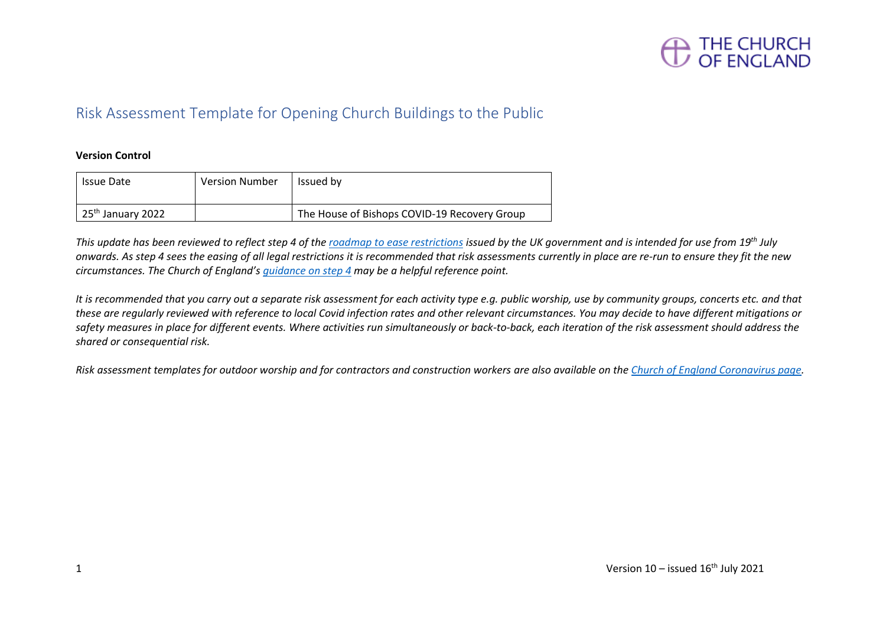

### Risk Assessment Template for Opening Church Buildings to the Public

### **Version Control**

| <b>Issue Date</b>   | <b>Version Number</b> | Issued by                                    |
|---------------------|-----------------------|----------------------------------------------|
| $25th$ January 2022 |                       | The House of Bishops COVID-19 Recovery Group |

*This update has been reviewed to reflect step 4 of th[e roadmap to ease restrictions](https://www.gov.uk/government/publications/covid-19-response-spring-2021/covid-19-response-spring-2021-summary) issued by the UK government and is intended for use from 19th July onwards. As step 4 sees the easing of all legal restrictions it is recommended that risk assessments currently in place are re-run to ensure they fit the new circumstances. The Church of England's [guidance on step 4](https://www.churchofengland.org/media/24767) may be a helpful reference point.*

*It is recommended that you carry out a separate risk assessment for each activity type e.g. public worship, use by community groups, concerts etc. and that these are regularly reviewed with reference to local Covid infection rates and other relevant circumstances. You may decide to have different mitigations or safety measures in place for different events. Where activities run simultaneously or back-to-back, each iteration of the risk assessment should address the shared or consequential risk.*

*Risk assessment templates for outdoor worship and for contractors and construction workers are also available on th[e Church of England Coronavirus page.](https://www.churchofengland.org/resources/coronavirus-covid-19-guidance)*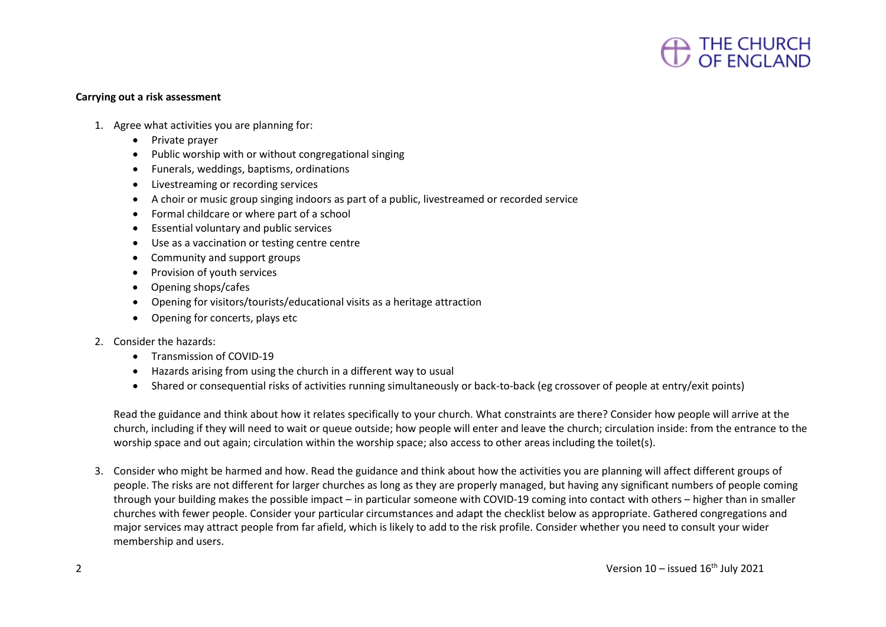

### **Carrying out a risk assessment**

- 1. Agree what activities you are planning for:
	- Private prayer
	- Public worship with or without congregational singing
	- Funerals, weddings, baptisms, ordinations
	- Livestreaming or recording services
	- A choir or music group singing indoors as part of a public, livestreamed or recorded service
	- Formal childcare or where part of a school
	- Essential voluntary and public services
	- Use as a vaccination or testing centre centre
	- Community and support groups
	- Provision of youth services
	- Opening shops/cafes
	- Opening for visitors/tourists/educational visits as a heritage attraction
	- Opening for concerts, plays etc
- 2. Consider the hazards:
	- Transmission of COVID-19
	- Hazards arising from using the church in a different way to usual
	- Shared or consequential risks of activities running simultaneously or back-to-back (eg crossover of people at entry/exit points)

Read the guidance and think about how it relates specifically to your church. What constraints are there? Consider how people will arrive at the church, including if they will need to wait or queue outside; how people will enter and leave the church; circulation inside: from the entrance to the worship space and out again; circulation within the worship space; also access to other areas including the toilet(s).

3. Consider who might be harmed and how. Read the guidance and think about how the activities you are planning will affect different groups of people. The risks are not different for larger churches as long as they are properly managed, but having any significant numbers of people coming through your building makes the possible impact – in particular someone with COVID-19 coming into contact with others – higher than in smaller churches with fewer people. Consider your particular circumstances and adapt the checklist below as appropriate. Gathered congregations and major services may attract people from far afield, which is likely to add to the risk profile. Consider whether you need to consult your wider membership and users.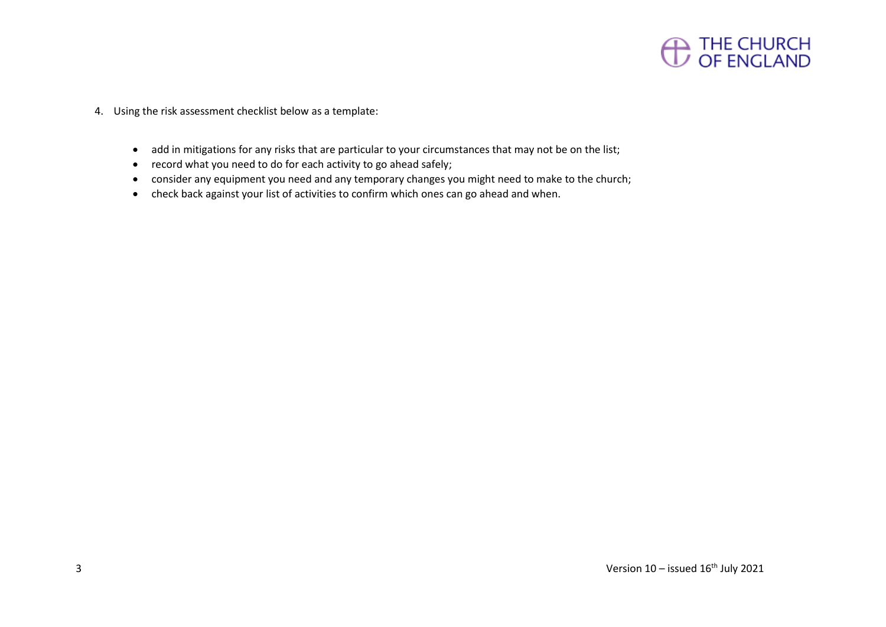

- 4. Using the risk assessment checklist below as a template:
	- add in mitigations for any risks that are particular to your circumstances that may not be on the list;
	- record what you need to do for each activity to go ahead safely;
	- consider any equipment you need and any temporary changes you might need to make to the church;
	- check back against your list of activities to confirm which ones can go ahead and when.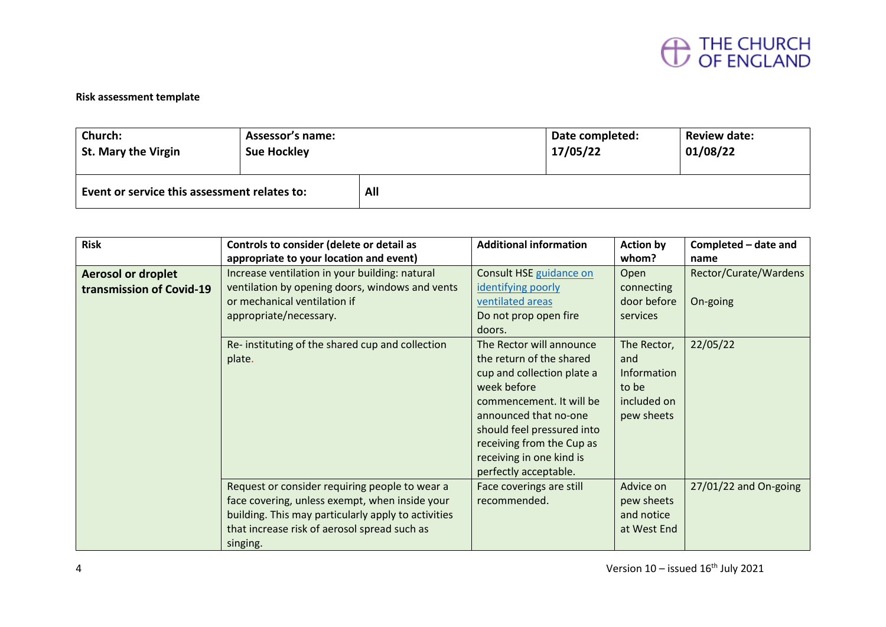

### **Risk assessment template**

| <b>Church:</b>                               | <b>Assessor's name:</b> |     | Date completed: | <b>Review date:</b> |
|----------------------------------------------|-------------------------|-----|-----------------|---------------------|
| <b>St. Mary the Virgin</b>                   | <b>Sue Hockley</b>      |     | 17/05/22        | 01/08/22            |
| Event or service this assessment relates to: |                         | All |                 |                     |

| <b>Risk</b>                                           | Controls to consider (delete or detail as<br>appropriate to your location and event)                                                                                                                                | <b>Additional information</b>                                                                                                                                                                                                                                          | <b>Action by</b><br>whom?                                               | Completed - date and<br>name      |
|-------------------------------------------------------|---------------------------------------------------------------------------------------------------------------------------------------------------------------------------------------------------------------------|------------------------------------------------------------------------------------------------------------------------------------------------------------------------------------------------------------------------------------------------------------------------|-------------------------------------------------------------------------|-----------------------------------|
| <b>Aerosol or droplet</b><br>transmission of Covid-19 | Increase ventilation in your building: natural<br>ventilation by opening doors, windows and vents<br>or mechanical ventilation if<br>appropriate/necessary.                                                         | Consult HSE guidance on<br>identifying poorly<br>ventilated areas<br>Do not prop open fire<br>doors.                                                                                                                                                                   | Open<br>connecting<br>door before<br>services                           | Rector/Curate/Wardens<br>On-going |
|                                                       | Re- instituting of the shared cup and collection<br>plate.                                                                                                                                                          | The Rector will announce<br>the return of the shared<br>cup and collection plate a<br>week before<br>commencement. It will be<br>announced that no-one<br>should feel pressured into<br>receiving from the Cup as<br>receiving in one kind is<br>perfectly acceptable. | The Rector,<br>and<br>Information<br>to be<br>included on<br>pew sheets | 22/05/22                          |
|                                                       | Request or consider requiring people to wear a<br>face covering, unless exempt, when inside your<br>building. This may particularly apply to activities<br>that increase risk of aerosol spread such as<br>singing. | Face coverings are still<br>recommended.                                                                                                                                                                                                                               | Advice on<br>pew sheets<br>and notice<br>at West End                    | 27/01/22 and On-going             |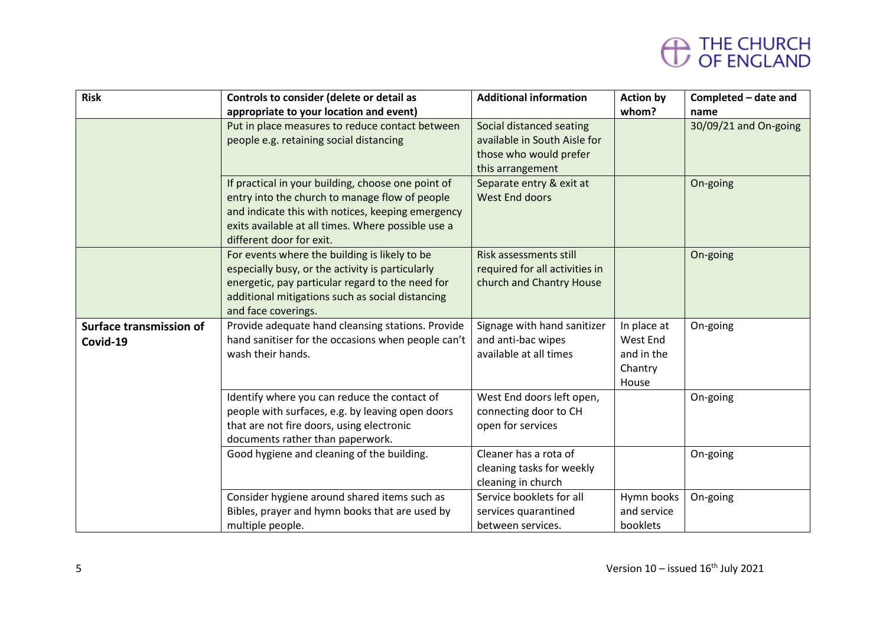# THE CHURCH<br>OF ENGLAND

| <b>Risk</b>                         | Controls to consider (delete or detail as                                                                                                                                                                                                   | <b>Additional information</b>                                                                          | <b>Action by</b>                                          | Completed - date and  |
|-------------------------------------|---------------------------------------------------------------------------------------------------------------------------------------------------------------------------------------------------------------------------------------------|--------------------------------------------------------------------------------------------------------|-----------------------------------------------------------|-----------------------|
|                                     | appropriate to your location and event)                                                                                                                                                                                                     |                                                                                                        | whom?                                                     | name                  |
|                                     | Put in place measures to reduce contact between<br>people e.g. retaining social distancing                                                                                                                                                  | Social distanced seating<br>available in South Aisle for<br>those who would prefer<br>this arrangement |                                                           | 30/09/21 and On-going |
|                                     | If practical in your building, choose one point of<br>entry into the church to manage flow of people<br>and indicate this with notices, keeping emergency<br>exits available at all times. Where possible use a<br>different door for exit. | Separate entry & exit at<br><b>West End doors</b>                                                      |                                                           | On-going              |
|                                     | For events where the building is likely to be<br>especially busy, or the activity is particularly<br>energetic, pay particular regard to the need for<br>additional mitigations such as social distancing<br>and face coverings.            | Risk assessments still<br>required for all activities in<br>church and Chantry House                   |                                                           | On-going              |
| Surface transmission of<br>Covid-19 | Provide adequate hand cleansing stations. Provide<br>hand sanitiser for the occasions when people can't<br>wash their hands.                                                                                                                | Signage with hand sanitizer<br>and anti-bac wipes<br>available at all times                            | In place at<br>West End<br>and in the<br>Chantry<br>House | On-going              |
|                                     | Identify where you can reduce the contact of<br>people with surfaces, e.g. by leaving open doors<br>that are not fire doors, using electronic<br>documents rather than paperwork.                                                           | West End doors left open,<br>connecting door to CH<br>open for services                                |                                                           | On-going              |
|                                     | Good hygiene and cleaning of the building.                                                                                                                                                                                                  | Cleaner has a rota of<br>cleaning tasks for weekly<br>cleaning in church                               |                                                           | On-going              |
|                                     | Consider hygiene around shared items such as<br>Bibles, prayer and hymn books that are used by<br>multiple people.                                                                                                                          | Service booklets for all<br>services quarantined<br>between services.                                  | Hymn books<br>and service<br>booklets                     | On-going              |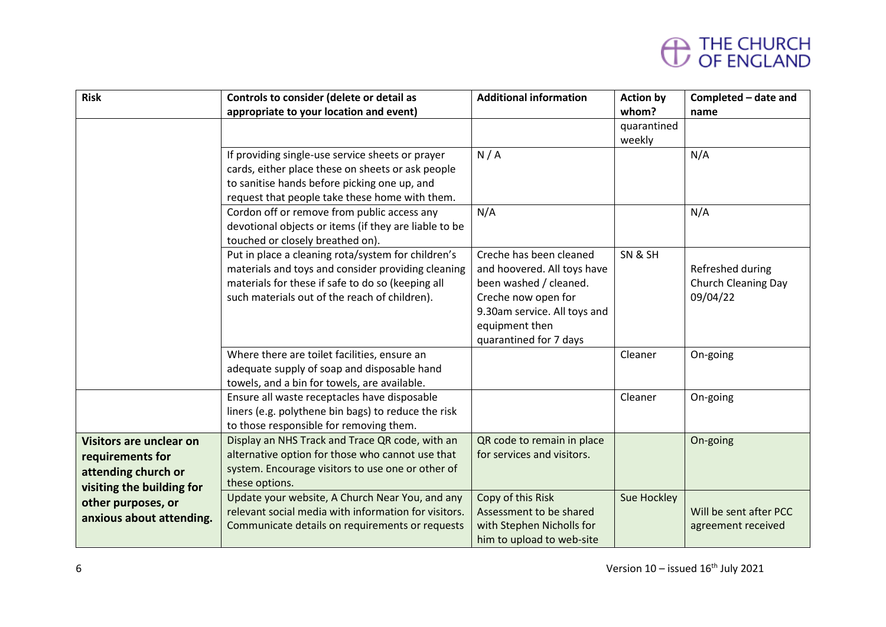# THE CHURCH<br>OF ENGLAND

| <b>Risk</b>                    | Controls to consider (delete or detail as             | <b>Additional information</b> | <b>Action by</b> | Completed - date and       |
|--------------------------------|-------------------------------------------------------|-------------------------------|------------------|----------------------------|
|                                | appropriate to your location and event)               |                               | whom?            | name                       |
|                                |                                                       |                               | quarantined      |                            |
|                                |                                                       |                               | weekly           |                            |
|                                | If providing single-use service sheets or prayer      | N/A                           |                  | N/A                        |
|                                | cards, either place these on sheets or ask people     |                               |                  |                            |
|                                | to sanitise hands before picking one up, and          |                               |                  |                            |
|                                | request that people take these home with them.        |                               |                  |                            |
|                                | Cordon off or remove from public access any           | N/A                           |                  | N/A                        |
|                                | devotional objects or items (if they are liable to be |                               |                  |                            |
|                                | touched or closely breathed on).                      |                               |                  |                            |
|                                | Put in place a cleaning rota/system for children's    | Creche has been cleaned       | SN & SH          |                            |
|                                | materials and toys and consider providing cleaning    | and hoovered. All toys have   |                  | Refreshed during           |
|                                | materials for these if safe to do so (keeping all     | been washed / cleaned.        |                  | <b>Church Cleaning Day</b> |
|                                | such materials out of the reach of children).         | Creche now open for           |                  | 09/04/22                   |
|                                |                                                       | 9.30am service. All toys and  |                  |                            |
|                                |                                                       | equipment then                |                  |                            |
|                                |                                                       | quarantined for 7 days        |                  |                            |
|                                | Where there are toilet facilities, ensure an          |                               | Cleaner          | On-going                   |
|                                | adequate supply of soap and disposable hand           |                               |                  |                            |
|                                | towels, and a bin for towels, are available.          |                               |                  |                            |
|                                | Ensure all waste receptacles have disposable          |                               | Cleaner          | On-going                   |
|                                | liners (e.g. polythene bin bags) to reduce the risk   |                               |                  |                            |
|                                | to those responsible for removing them.               |                               |                  |                            |
| <b>Visitors are unclear on</b> | Display an NHS Track and Trace QR code, with an       | QR code to remain in place    |                  | On-going                   |
| requirements for               | alternative option for those who cannot use that      | for services and visitors.    |                  |                            |
| attending church or            | system. Encourage visitors to use one or other of     |                               |                  |                            |
| visiting the building for      | these options.                                        |                               |                  |                            |
| other purposes, or             | Update your website, A Church Near You, and any       | Copy of this Risk             | Sue Hockley      |                            |
| anxious about attending.       | relevant social media with information for visitors.  | Assessment to be shared       |                  | Will be sent after PCC     |
|                                | Communicate details on requirements or requests       | with Stephen Nicholls for     |                  | agreement received         |
|                                |                                                       | him to upload to web-site     |                  |                            |